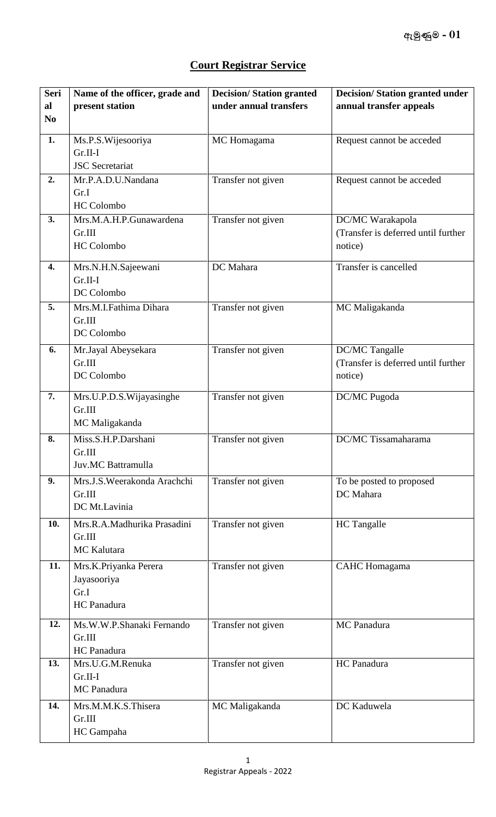## **Court Registrar Service**

| Seri           | Name of the officer, grade and | <b>Decision/Station granted</b> | <b>Decision/Station granted under</b> |
|----------------|--------------------------------|---------------------------------|---------------------------------------|
| al             | present station                | under annual transfers          | annual transfer appeals               |
| N <sub>0</sub> |                                |                                 |                                       |
| 1.             | Ms.P.S.Wijesooriya             | MC Homagama                     | Request cannot be acceded             |
|                | $Gr.II-I$                      |                                 |                                       |
|                | <b>JSC</b> Secretariat         |                                 |                                       |
| 2.             | Mr.P.A.D.U.Nandana             | Transfer not given              | Request cannot be acceded             |
|                | Gr.I                           |                                 |                                       |
|                | HC Colombo                     |                                 |                                       |
| 3.             | Mrs.M.A.H.P.Gunawardena        | Transfer not given              | DC/MC Warakapola                      |
|                | Gr.III                         |                                 | (Transfer is deferred until further   |
|                | <b>HC</b> Colombo              |                                 | notice)                               |
| 4.             | Mrs.N.H.N.Sajeewani            | DC Mahara                       | Transfer is cancelled                 |
|                | $Gr.II-I$                      |                                 |                                       |
|                | DC Colombo                     |                                 |                                       |
| 5.             | Mrs.M.I.Fathima Dihara         | Transfer not given              | MC Maligakanda                        |
|                | Gr.III                         |                                 |                                       |
|                | DC Colombo                     |                                 |                                       |
| 6.             | Mr.Jayal Abeysekara            | Transfer not given              | DC/MC Tangalle                        |
|                | Gr.III                         |                                 | (Transfer is deferred until further   |
|                | DC Colombo                     |                                 | notice)                               |
| 7.             | Mrs.U.P.D.S. Wijayasinghe      | Transfer not given              | DC/MC Pugoda                          |
|                | Gr.III                         |                                 |                                       |
|                | MC Maligakanda                 |                                 |                                       |
| 8.             | Miss.S.H.P.Darshani            | Transfer not given              | DC/MC Tissamaharama                   |
|                | Gr.III                         |                                 |                                       |
|                | Juv.MC Battramulla             |                                 |                                       |
| 9.             | Mrs.J.S.Weerakonda Arachchi    | Transfer not given              | To be posted to proposed              |
|                | Gr.III                         |                                 | DC Mahara                             |
|                | DC Mt.Lavinia                  |                                 |                                       |
| 10.            | Mrs.R.A.Madhurika Prasadini    | Transfer not given              | HC Tangalle                           |
|                | Gr.III                         |                                 |                                       |
|                | <b>MC</b> Kalutara             |                                 |                                       |
| 11.            | Mrs.K.Priyanka Perera          | Transfer not given              | <b>CAHC</b> Homagama                  |
|                | Jayasooriya                    |                                 |                                       |
|                | Gr.I<br>HC Panadura            |                                 |                                       |
|                |                                |                                 |                                       |
| 12.            | Ms.W.W.P.Shanaki Fernando      | Transfer not given              | MC Panadura                           |
|                | Gr.III                         |                                 |                                       |
|                | HC Panadura                    |                                 |                                       |
| 13.            | Mrs.U.G.M.Renuka<br>$Gr.II-I$  | Transfer not given              | HC Panadura                           |
|                | MC Panadura                    |                                 |                                       |
|                |                                |                                 |                                       |
| 14.            | Mrs.M.M.K.S.Thisera<br>Gr.III  | MC Maligakanda                  | DC Kaduwela                           |
|                |                                |                                 |                                       |
|                | HC Gampaha                     |                                 |                                       |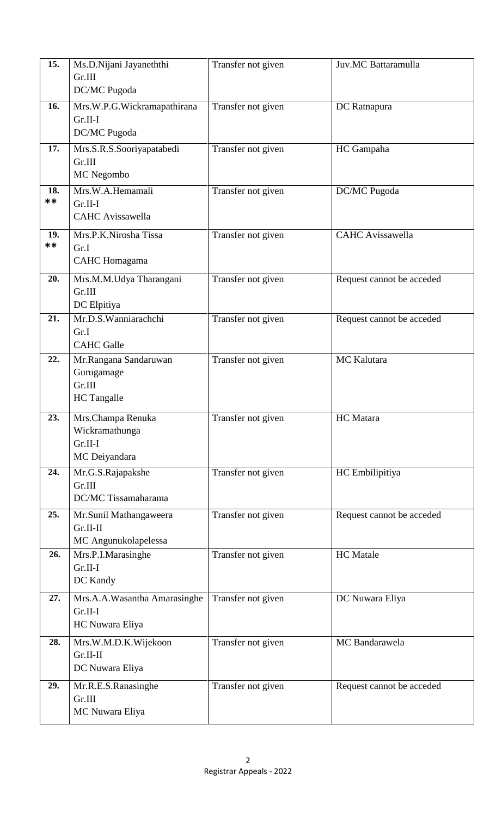| 15.       | Ms.D.Nijani Jayaneththi<br>Gr.III<br>DC/MC Pugoda                   | Transfer not given | Juv.MC Battaramulla       |
|-----------|---------------------------------------------------------------------|--------------------|---------------------------|
| 16.       | Mrs.W.P.G.Wickramapathirana<br>Gr.II-I<br>DC/MC Pugoda              | Transfer not given | DC Ratnapura              |
| 17.       | Mrs.S.R.S.Sooriyapatabedi<br>Gr.III<br>MC Negombo                   | Transfer not given | HC Gampaha                |
| 18.<br>** | Mrs.W.A.Hemamali<br>$Gr.II-I$<br><b>CAHC</b> Avissawella            | Transfer not given | DC/MC Pugoda              |
| 19.<br>** | Mrs.P.K.Nirosha Tissa<br>Gr.I<br><b>CAHC</b> Homagama               | Transfer not given | <b>CAHC</b> Avissawella   |
| 20.       | Mrs.M.M.Udya Tharangani<br>Gr.III<br>DC Elpitiya                    | Transfer not given | Request cannot be acceded |
| 21.       | Mr.D.S.Wanniarachchi<br>Gr.I<br><b>CAHC</b> Galle                   | Transfer not given | Request cannot be acceded |
| 22.       | Mr.Rangana Sandaruwan<br>Gurugamage<br>Gr.III<br><b>HC</b> Tangalle | Transfer not given | MC Kalutara               |
| 23.       | Mrs.Champa Renuka<br>Wickramathunga<br>$Gr.II-I$<br>MC Deiyandara   | Transfer not given | HC Matara                 |
| 24.       | Mr.G.S.Rajapakshe<br>Gr.III<br>DC/MC Tissamaharama                  | Transfer not given | HC Embilipitiya           |
| 25.       | Mr.Sunil Mathangaweera<br>Gr.II-II<br>MC Angunukolapelessa          | Transfer not given | Request cannot be acceded |
| 26.       | Mrs.P.I.Marasinghe<br>Gr.II-I<br>DC Kandy                           | Transfer not given | <b>HC</b> Matale          |
| 27.       | Mrs.A.A.Wasantha Amarasinghe<br>$Gr.II-I$<br>HC Nuwara Eliya        | Transfer not given | DC Nuwara Eliya           |
| 28.       | Mrs.W.M.D.K.Wijekoon<br>Gr.II-II<br>DC Nuwara Eliya                 | Transfer not given | MC Bandarawela            |
| 29.       | Mr.R.E.S.Ranasinghe<br>Gr.III<br>MC Nuwara Eliya                    | Transfer not given | Request cannot be acceded |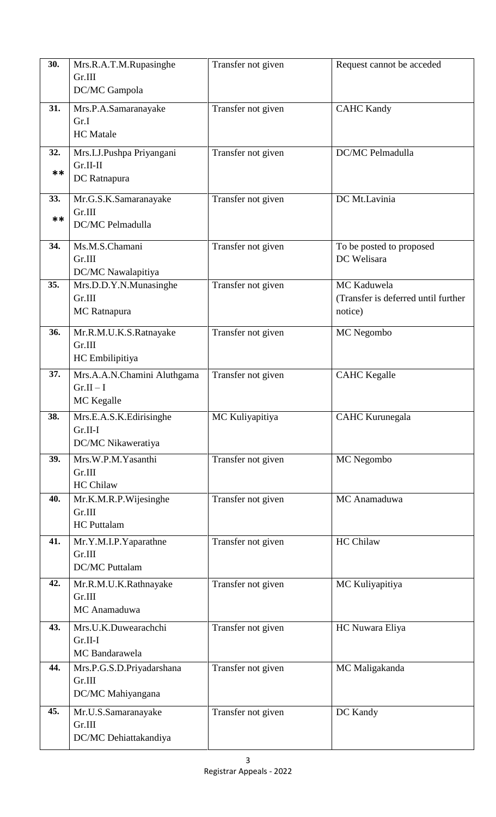| 30.          | Mrs.R.A.T.M.Rupasinghe<br>Gr.III<br>DC/MC Gampola          | Transfer not given | Request cannot be acceded                                     |
|--------------|------------------------------------------------------------|--------------------|---------------------------------------------------------------|
| 31.          | Mrs.P.A.Samaranayake<br>Gr.I<br><b>HC</b> Matale           | Transfer not given | <b>CAHC Kandy</b>                                             |
| 32.<br>**    | Mrs.I.J.Pushpa Priyangani<br>$Gr.II-II$<br>DC Ratnapura    | Transfer not given | DC/MC Pelmadulla                                              |
| 33.<br>$***$ | Mr.G.S.K.Samaranayake<br>Gr.III<br>DC/MC Pelmadulla        | Transfer not given | DC Mt.Lavinia                                                 |
| 34.          | Ms.M.S.Chamani<br>Gr.III<br>DC/MC Nawalapitiya             | Transfer not given | To be posted to proposed<br>DC Welisara                       |
| 35.          | Mrs.D.D.Y.N.Munasinghe<br>Gr.III<br>MC Ratnapura           | Transfer not given | MC Kaduwela<br>(Transfer is deferred until further<br>notice) |
| 36.          | Mr.R.M.U.K.S.Ratnayake<br>Gr.III<br>HC Embilipitiya        | Transfer not given | MC Negombo                                                    |
| 37.          | Mrs.A.A.N.Chamini Aluthgama<br>$Gr.II-I$<br>MC Kegalle     | Transfer not given | <b>CAHC</b> Kegalle                                           |
| 38.          | Mrs.E.A.S.K.Edirisinghe<br>$Gr.II-I$<br>DC/MC Nikaweratiya | MC Kuliyapitiya    | <b>CAHC Kurunegala</b>                                        |
| 39.          | Mrs.W.P.M.Yasanthi<br>Gr.III<br><b>HC Chilaw</b>           | Transfer not given | MC Negombo                                                    |
| 40.          | Mr.K.M.R.P.Wijesinghe<br>Gr.III<br><b>HC</b> Puttalam      | Transfer not given | MC Anamaduwa                                                  |
| 41.          | Mr.Y.M.I.P.Yaparathne<br>Gr.III<br><b>DC/MC</b> Puttalam   | Transfer not given | <b>HC Chilaw</b>                                              |
| 42.          | Mr.R.M.U.K.Rathnayake<br>Gr.III<br>MC Anamaduwa            | Transfer not given | MC Kuliyapitiya                                               |
| 43.          | Mrs.U.K.Duwearachchi<br>$Gr.II-I$<br>MC Bandarawela        | Transfer not given | HC Nuwara Eliya                                               |
| 44.          | Mrs.P.G.S.D.Priyadarshana<br>Gr.III<br>DC/MC Mahiyangana   | Transfer not given | MC Maligakanda                                                |
| 45.          | Mr.U.S.Samaranayake<br>Gr.III<br>DC/MC Dehiattakandiya     | Transfer not given | DC Kandy                                                      |